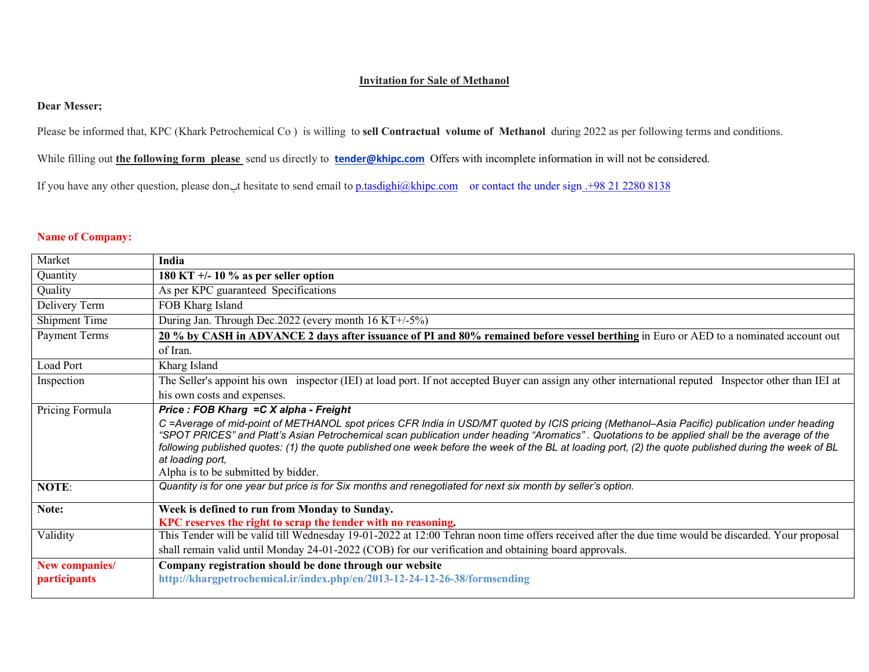## **Invitation for Sale of Methanol**

## **Dear Messer;**

Please be informed that, KPC (Khark Petrochemical Co ) is willing to **sell Contractual volume of Methanol** during 2022 as per following terms and conditions.

While filling out **the following form please** send us directly to **tender@khipc.com** Offers with incomplete information in will not be considered.

If you have any other question, please don't hesitate to send email to p.tasdighi@khipc.com or contact the under sign .+98 21 2280 8138

## **Name of Company:**

| Market              | India                                                                                                                                                                                                                                                                                                   |
|---------------------|---------------------------------------------------------------------------------------------------------------------------------------------------------------------------------------------------------------------------------------------------------------------------------------------------------|
| Quantity            | 180 KT $+/- 10 \%$ as per seller option                                                                                                                                                                                                                                                                 |
| Quality             | As per KPC guaranteed Specifications                                                                                                                                                                                                                                                                    |
| Delivery Term       | FOB Kharg Island                                                                                                                                                                                                                                                                                        |
| Shipment Time       | During Jan. Through Dec.2022 (every month 16 KT+/-5%)                                                                                                                                                                                                                                                   |
| Payment Terms       | 20 % by CASH in ADVANCE 2 days after issuance of PI and 80% remained before vessel berthing in Euro or AED to a nominated account out                                                                                                                                                                   |
|                     | of Iran.                                                                                                                                                                                                                                                                                                |
| Load Port           | Kharg Island                                                                                                                                                                                                                                                                                            |
| Inspection          | The Seller's appoint his own inspector (IEI) at load port. If not accepted Buyer can assign any other international reputed Inspector other than IEI at                                                                                                                                                 |
|                     | his own costs and expenses.                                                                                                                                                                                                                                                                             |
| Pricing Formula     | Price: FOB Kharg = C X alpha - Freight                                                                                                                                                                                                                                                                  |
|                     | C =Average of mid-point of METHANOL spot prices CFR India in USD/MT quoted by ICIS pricing (Methanol-Asia Pacific) publication under heading                                                                                                                                                            |
|                     | "SPOT PRICES" and Platt's Asian Petrochemical scan publication under heading "Aromatics". Quotations to be applied shall be the average of the<br>following published quotes: (1) the quote published one week before the week of the BL at loading port, (2) the quote published during the week of BL |
|                     | at loading port,                                                                                                                                                                                                                                                                                        |
|                     | Alpha is to be submitted by bidder.                                                                                                                                                                                                                                                                     |
| NOTE:               | Quantity is for one year but price is for Six months and renegotiated for next six month by seller's option.                                                                                                                                                                                            |
| Note:               | Week is defined to run from Monday to Sunday.                                                                                                                                                                                                                                                           |
|                     | KPC reserves the right to scrap the tender with no reasoning.                                                                                                                                                                                                                                           |
| Validity            | This Tender will be valid till Wednesday 19-01-2022 at 12:00 Tehran noon time offers received after the due time would be discarded. Your proposal                                                                                                                                                      |
|                     | shall remain valid until Monday 24-01-2022 (COB) for our verification and obtaining board approvals.                                                                                                                                                                                                    |
| New companies/      | Company registration should be done through our website                                                                                                                                                                                                                                                 |
| <i>participants</i> | http://khargpetrochemical.ir/index.php/en/2013-12-24-12-26-38/formsending                                                                                                                                                                                                                               |
|                     |                                                                                                                                                                                                                                                                                                         |